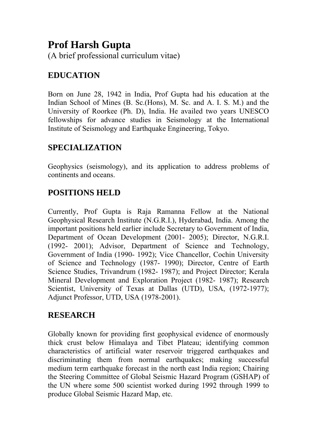# **Prof Harsh Gupta**

(A brief professional curriculum vitae)

## **EDUCATION**

Born on June 28, 1942 in India, Prof Gupta had his education at the Indian School of Mines (B. Sc.(Hons), M. Sc. and A. I. S. M.) and the University of Roorkee (Ph. D), India. He availed two years UNESCO fellowships for advance studies in Seismology at the International Institute of Seismology and Earthquake Engineering, Tokyo.

## **SPECIALIZATION**

Geophysics (seismology), and its application to address problems of continents and oceans.

## **POSITIONS HELD**

Currently, Prof Gupta is Raja Ramanna Fellow at the National Geophysical Research Institute (N.G.R.I.), Hyderabad, India. Among the important positions held earlier include Secretary to Government of India, Department of Ocean Development (2001- 2005); Director, N.G.R.I. (1992- 2001); Advisor, Department of Science and Technology, Government of India (1990- 1992); Vice Chancellor, Cochin University of Science and Technology (1987- 1990); Director, Centre of Earth Science Studies, Trivandrum (1982- 1987); and Project Director; Kerala Mineral Development and Exploration Project (1982- 1987); Research Scientist, University of Texas at Dallas (UTD), USA, (1972-1977); Adjunct Professor, UTD, USA (1978-2001).

## **RESEARCH**

Globally known for providing first geophysical evidence of enormously thick crust below Himalaya and Tibet Plateau; identifying common characteristics of artificial water reservoir triggered earthquakes and discriminating them from normal earthquakes; making successful medium term earthquake forecast in the north east India region; Chairing the Steering Committee of Global Seismic Hazard Program (GSHAP) of the UN where some 500 scientist worked during 1992 through 1999 to produce Global Seismic Hazard Map, etc.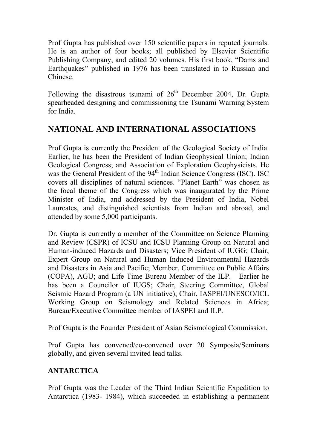Prof Gupta has published over 150 scientific papers in reputed journals. He is an author of four books; all published by Elsevier Scientific Publishing Company, and edited 20 volumes. His first book, "Dams and Earthquakes" published in 1976 has been translated in to Russian and Chinese.

Following the disastrous tsunami of  $26<sup>th</sup>$  December 2004, Dr. Gupta spearheaded designing and commissioning the Tsunami Warning System for India.

## **NATIONAL AND INTERNATIONAL ASSOCIATIONS**

Prof Gupta is currently the President of the Geological Society of India. Earlier, he has been the President of Indian Geophysical Union; Indian Geological Congress; and Association of Exploration Geophysicists. He was the General President of the 94<sup>th</sup> Indian Science Congress (ISC). ISC covers all disciplines of natural sciences. "Planet Earth" was chosen as the focal theme of the Congress which was inaugurated by the Prime Minister of India, and addressed by the President of India, Nobel Laureates, and distinguished scientists from Indian and abroad, and attended by some 5,000 participants.

Dr. Gupta is currently a member of the Committee on Science Planning and Review (CSPR) of ICSU and ICSU Planning Group on Natural and Human-induced Hazards and Disasters; Vice President of IUGG; Chair, Expert Group on Natural and Human Induced Environmental Hazards and Disasters in Asia and Pacific; Member, Committee on Public Affairs (COPA), AGU; and Life Time Bureau Member of the ILP. Earlier he has been a Councilor of IUGS; Chair, Steering Committee, Global Seismic Hazard Program (a UN initiative); Chair, IASPEI/UNESCO/ICL Working Group on Seismology and Related Sciences in Africa; Bureau/Executive Committee member of IASPEI and ILP.

Prof Gupta is the Founder President of Asian Seismological Commission.

Prof Gupta has convened/co-convened over 20 Symposia/Seminars globally, and given several invited lead talks.

## **ANTARCTICA**

Prof Gupta was the Leader of the Third Indian Scientific Expedition to Antarctica (1983- 1984), which succeeded in establishing a permanent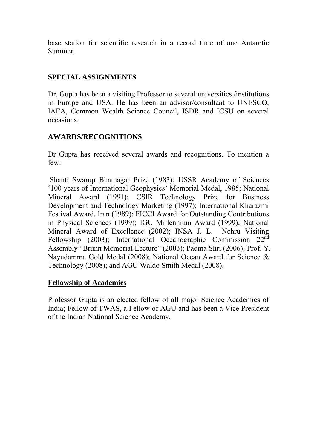base station for scientific research in a record time of one Antarctic Summer.

### **SPECIAL ASSIGNMENTS**

Dr. Gupta has been a visiting Professor to several universities /institutions in Europe and USA. He has been an advisor/consultant to UNESCO, IAEA, Common Wealth Science Council, ISDR and ICSU on several occasions.

### **AWARDS/RECOGNITIONS**

Dr Gupta has received several awards and recognitions. To mention a few:

 Shanti Swarup Bhatnagar Prize (1983); USSR Academy of Sciences '100 years of International Geophysics' Memorial Medal, 1985; National Mineral Award (1991); CSIR Technology Prize for Business Development and Technology Marketing (1997); International Kharazmi Festival Award, Iran (1989); FICCI Award for Outstanding Contributions in Physical Sciences (1999); IGU Millennium Award (1999); National Mineral Award of Excellence (2002); INSA J. L. Nehru Visiting Fellowship (2003); International Oceanographic Commission 22<sup>nd</sup> Assembly "Brunn Memorial Lecture" (2003); Padma Shri (2006); Prof. Y. Nayudamma Gold Medal (2008); National Ocean Award for Science & Technology (2008); and AGU Waldo Smith Medal (2008).

### **Fellowship of Academies**

Professor Gupta is an elected fellow of all major Science Academies of India; Fellow of TWAS, a Fellow of AGU and has been a Vice President of the Indian National Science Academy.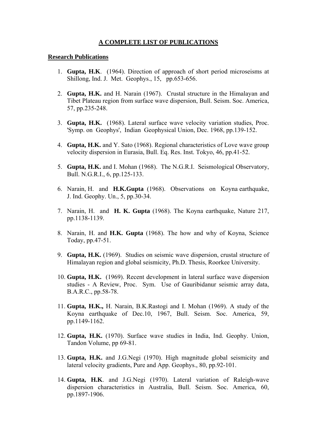### **A COMPLETE LIST OF PUBLICATIONS**

#### **Research Publications**

- 1. **Gupta, H.K**. (1964). Direction of approach of short period microseisms at Shillong, Ind. J. Met. Geophys., 15, pp.653-656.
- 2. **Gupta, H.K.** and H. Narain (1967). Crustal structure in the Himalayan and Tibet Plateau region from surface wave dispersion, Bull. Seism. Soc. America, 57, pp.235-248.
- 3. **Gupta, H.K.** (1968). Lateral surface wave velocity variation studies, Proc. 'Symp. on Geophys', Indian Geophysical Union, Dec. 1968, pp.139-152.
- 4. **Gupta, H.K.** and Y. Sato (1968). Regional characteristics of Love wave group velocity dispersion in Eurasia, Bull. Eq. Res. Inst. Tokyo, 46, pp.41-52.
- 5. **Gupta, H.K.** and I. Mohan (1968). The N.G.R.I. Seismological Observatory, Bull. N.G.R.I., 6, pp.125-133.
- 6. Narain, H. and **H.K.Gupta** (1968). Observations on Koyna earthquake, J. Ind. Geophy. Un., 5, pp.30-34.
- 7. Narain, H. and **H. K. Gupta** (1968). The Koyna earthquake, Nature 217, pp.1138-1139.
- 8. Narain, H. and **H.K. Gupta** (1968). The how and why of Koyna, Science Today, pp.47-51.
- 9. **Gupta, H.K.** (1969). Studies on seismic wave dispersion, crustal structure of Himalayan region and global seismicity, Ph.D. Thesis, Roorkee University.
- 10. **Gupta, H.K.** (1969). Recent development in lateral surface wave dispersion studies - A Review, Proc. Sym. Use of Gauribidanur seismic array data, B.A.R.C., pp.58-78.
- 11. **Gupta, H.K.,** H. Narain, B.K.Rastogi and I. Mohan (1969). A study of the Koyna earthquake of Dec.10, 1967, Bull. Seism. Soc. America, 59, pp.1149-1162.
- 12. **Gupta, H.K.** (1970). Surface wave studies in India, Ind. Geophy. Union, Tandon Volume, pp 69-81.
- 13. **Gupta, H.K.** and J.G.Negi (1970). High magnitude global seismicity and lateral velocity gradients, Pure and App. Geophys., 80, pp.92-101.
- 14. **Gupta, H.K**. and J.G.Negi (1970). Lateral variation of Raleigh-wave dispersion characteristics in Australia, Bull. Seism. Soc. America, 60, pp.1897-1906.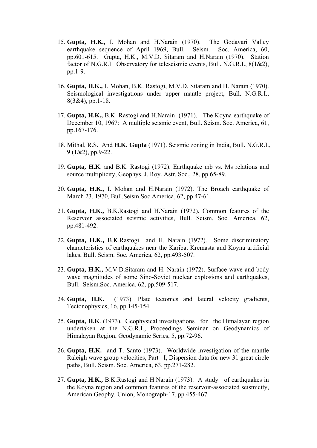- 15. **Gupta, H.K.,** I. Mohan and H.Narain (1970). The Godavari Valley earthquake sequence of April 1969, Bull. Seism. Soc. America, 60, pp.601-615. Gupta, H.K., M.V.D. Sitaram and H.Narain (1970). Station factor of N.G.R.I. Observatory for teleseismic events, Bull. N.G.R.I., 8(1&2), pp.1-9.
- 16. **Gupta, H.K.,** I. Mohan, B.K. Rastogi, M.V.D. Sitaram and H. Narain (1970). Seismological investigations under upper mantle project, Bull. N.G.R.I., 8(3&4), pp.1-18.
- 17. **Gupta, H.K.,** B.K. Rastogi and H.Narain (1971). The Koyna earthquake of December 10, 1967: A multiple seismic event, Bull. Seism. Soc. America, 61, pp.167-176.
- 18. Mithal, R.S. And **H.K. Gupta** (1971). Seismic zoning in India, Bull. N.G.R.I., 9 (1&2), pp.9-22.
- 19. **Gupta, H.K**. and B.K. Rastogi (1972). Earthquake mb vs. Ms relations and source multiplicity, Geophys. J. Roy. Astr. Soc., 28, pp.65-89.
- 20. **Gupta, H.K.,** I. Mohan and H.Narain (1972). The Broach earthquake of March 23, 1970, Bull.Seism.Soc.America, 62, pp.47-61.
- 21. **Gupta, H.K.,** B.K.Rastogi and H.Narain (1972). Common features of the Reservoir associated seismic activities, Bull. Seism. Soc. America, 62, pp.481-492.
- 22. **Gupta, H.K.,** B.K.Rastogi and H. Narain (1972). Some discriminatory characteristics of earthquakes near the Kariba, Kremasta and Koyna artificial lakes, Bull. Seism. Soc. America, 62, pp.493-507.
- 23. **Gupta, H.K.,** M.V.D.Sitaram and H. Narain (1972). Surface wave and body wave magnitudes of some Sino-Soviet nuclear explosions and earthquakes, Bull. Seism.Soc. America, 62, pp.509-517.
- 24. **Gupta, H.K.** (1973). Plate tectonics and lateral velocity gradients, Tectonophysics, 16, pp.145-154.
- 25. **Gupta, H.K**. (1973). Geophysical investigations for the Himalayan region undertaken at the N.G.R.I., Proceedings Seminar on Geodynamics of Himalayan Region, Geodynamic Series, 5, pp.72-96.
- 26. **Gupta, H.K.** and T. Santo (1973). Worldwide investigation of the mantle Raleigh wave group velocities, Part I, Dispersion data for new 31 great circle paths, Bull. Seism. Soc. America, 63, pp.271-282.
- 27. **Gupta, H.K.,** B.K.Rastogi and H.Narain (1973). A study of earthquakes in the Koyna region and common features of the reservoir-associated seismicity, American Geophy. Union, Monograph-17, pp.455-467.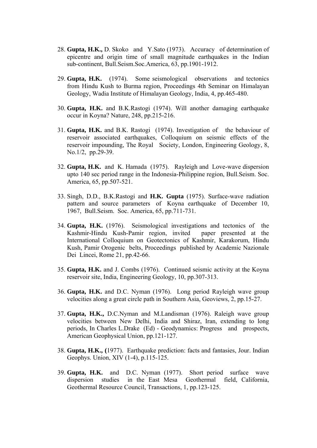- 28. **Gupta, H.K.,** D. Skoko and Y.Sato (1973). Accuracy of determination of epicentre and origin time of small magnitude earthquakes in the Indian sub-continent, Bull.Seism.Soc.America, 63, pp.1901-1912.
- 29. **Gupta, H.K.** (1974). Some seismological observations and tectonics from Hindu Kush to Burma region, Proceedings 4th Seminar on Himalayan Geology, Wadia Institute of Himalayan Geology, India, 4, pp.465-480.
- 30. **Gupta, H.K.** and B.K.Rastogi (1974). Will another damaging earthquake occur in Koyna? Nature, 248, pp.215-216.
- 31. **Gupta, H.K.** and B.K. Rastogi (1974). Investigation of the behaviour of reservoir associated earthquakes, Colloquium on seismic effects of the reservoir impounding, The Royal Society, London, Engineering Geology, 8, No.1/2, pp.29-39.
- 32. **Gupta, H.K.** and K. Hamada (1975). Rayleigh and Love-wave dispersion upto 140 sec period range in the Indonesia-Philippine region, Bull.Seism. Soc. America, 65, pp.507-521.
- 33. Singh, D.D., B.K.Rastogi and **H.K. Gupta** (1975). Surface-wave radiation pattern and source parameters of Koyna earthquake of December 10, 1967, Bull.Seism. Soc. America, 65, pp.711-731.
- 34. **Gupta, H.K.** (1976). Seismological investigations and tectonics of the Kashmir-Hindu Kush-Pamir region, invited paper presented at the International Colloquium on Geotectonics of Kashmir, Karakorum, Hindu Kush, Pamir Orogenic belts, Proceedings published by Academic Nazionale Dei Lincei, Rome 21, pp.42-66.
- 35. **Gupta, H.K.** and J. Combs (1976). Continued seismic activity at the Koyna reservoir site, India, Engineering Geology, 10, pp.307-313.
- 36. **Gupta, H.K.** and D.C. Nyman (1976). Long period Rayleigh wave group velocities along a great circle path in Southern Asia, Geoviews, 2, pp.15-27.
- 37. **Gupta, H.K.,** D.C.Nyman and M.Landisman (1976). Raleigh wave group velocities between New Delhi, India and Shiraz, Iran, extending to long periods, In Charles L.Drake (Ed) - Geodynamics: Progress and prospects, American Geophysical Union, pp.121-127.
- 38. **Gupta, H.K., (**1977). Earthquake prediction: facts and fantasies, Jour. Indian Geophys. Union, XIV (1-4), p.115-125.
- 39. **Gupta, H.K.** and D.C. Nyman (1977). Short period surface wave dispersion studies in the East Mesa Geothermal field, California, Geothermal Resource Council, Transactions, 1, pp.123-125.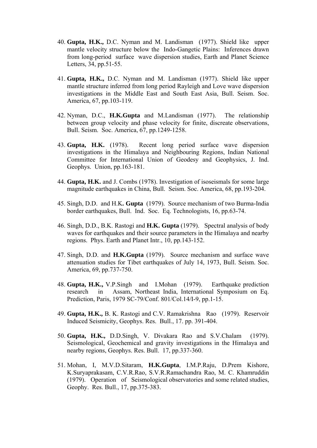- 40. **Gupta, H.K.,** D.C. Nyman and M. Landisman (1977). Shield like upper mantle velocity structure below the Indo-Gangetic Plains: Inferences drawn from long-period surface wave dispersion studies, Earth and Planet Science Letters, 34, pp.51-55.
- 41. **Gupta, H.K.,** D.C. Nyman and M. Landisman (1977). Shield like upper mantle structure inferred from long period Rayleigh and Love wave dispersion investigations in the Middle East and South East Asia, Bull. Seism. Soc. America, 67, pp.103-119.
- 42. Nyman, D.C., **H.K.Gupta** and M.Landisman (1977). The relationship between group velocity and phase velocity for finite, discreate observations, Bull. Seism. Soc. America, 67, pp.1249-1258.
- 43. **Gupta, H.K.** (1978). Recent long period surface wave dispersion investigations in the Himalaya and Neighbouring Regions, Indian National Committee for International Union of Geodesy and Geophysics, J. Ind. Geophys. Union, pp.163-181.
- 44. **Gupta, H.K.** and J. Combs (1978). Investigation of isoseismals for some large magnitude earthquakes in China, Bull. Seism. Soc. America, 68, pp.193-204.
- 45. Singh, D.D. and H.K**. Gupta** (1979). Source mechanism of two Burma-India border earthquakes, Bull. Ind. Soc. Eq. Technologists, 16, pp.63-74.
- 46. Singh, D.D., B.K. Rastogi and **H.K. Gupta** (1979). Spectral analysis of body waves for earthquakes and their source parameters in the Himalaya and nearby regions. Phys. Earth and Planet Intr., 10, pp.143-152.
- 47. Singh, D.D. and **H.K.Gupta** (1979). Source mechanism and surface wave attenuation studies for Tibet earthquakes of July 14, 1973, Bull. Seism. Soc. America, 69, pp.737-750.
- 48. **Gupta, H.K.,** V.P.Singh and I.Mohan (1979). Earthquake prediction research in Assam, Northeast India, International Symposium on Eq. Prediction, Paris, 1979 SC-79/Conf. 801/Col.14/I-9, pp.1-15.
- 49. **Gupta, H.K.,** B. K. Rastogi and C.V. Ramakrishna Rao (1979). Reservoir Induced Seismicity, Geophys. Res. Bull., 17. pp. 391-404.
- 50. **Gupta, H.K.,** D.D.Singh, V. Divakara Rao and S.V.Chalam (1979). Seismological, Geochemical and gravity investigations in the Himalaya and nearby regions, Geophys. Res. Bull. 17, pp.337-360.
- 51. Mohan, I, M.V.D.Sitaram, **H.K.Gupta**, I.M.P.Raju, D.Prem Kishore, K.Suryaprakasam, C.V.R.Rao, S.V.R.Ramachandra Rao, M. C. Khamruddin (1979). Operation of Seismological observatories and some related studies, Geophy. Res. Bull., 17, pp.375-383.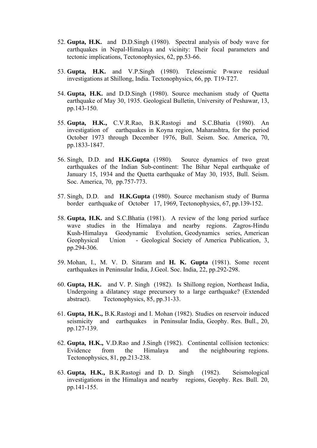- 52. **Gupta, H.K.** and D.D.Singh (1980). Spectral analysis of body wave for earthquakes in Nepal-Himalaya and vicinity: Their focal parameters and tectonic implications, Tectonophysics, 62, pp.53-66.
- 53. **Gupta, H.K.** and V.P.Singh (1980). Teleseismic P-wave residual investigations at Shillong, India. Tectonophysics, 66, pp. T19-T27.
- 54. **Gupta, H.K.** and D.D.Singh (1980). Source mechanism study of Quetta earthquake of May 30, 1935. Geological Bulletin, University of Peshawar, 13, pp.143-150.
- 55. **Gupta, H.K.,** C.V.R.Rao, B.K.Rastogi and S.C.Bhatia (1980). An investigation of earthquakes in Koyna region, Maharashtra, for the period October 1973 through December 1976, Bull. Seism. Soc. America, 70, pp.1833-1847.
- 56. Singh, D.D. and **H.K.Gupta** (1980). Source dynamics of two great earthquakes of the Indian Sub-continent: The Bihar Nepal earthquake of January 15, 1934 and the Quetta earthquake of May 30, 1935, Bull. Seism. Soc. America, 70, pp.757-773.
- 57. Singh, D.D. and **H.K.Gupta** (1980). Source mechanism study of Burma border earthquake of October 17, 1969, Tectonophysics, 67, pp.139-152.
- 58. **Gupta, H.K.** and S.C.Bhatia (1981). A review of the long period surface wave studies in the Himalaya and nearby regions. Zagros-Hindu Kush-Himalaya Geodynamic Evolution, Geodynamics series, American Geophysical Union - Geological Society of America Publication, 3, pp.294-306.
- 59. Mohan, I., M. V. D. Sitaram and **H. K. Gupta** (1981). Some recent earthquakes in Peninsular India, J.Geol. Soc. India, 22, pp.292-298.
- 60. **Gupta, H.K.** and V. P. Singh (1982). Is Shillong region, Northeast India, Undergoing a dilatancy stage precursory to a large earthquake? (Extended abstract). Tectonophysics, 85, pp.31-33.
- 61. **Gupta, H.K.,** B.K.Rastogi and I. Mohan (1982). Studies on reservoir induced seismicity and earthquakes in Peninsular India, Geophy. Res. Bull., 20, pp.127-139.
- 62. **Gupta, H.K.,** V.D.Rao and J.Singh (1982). Continental collision tectonics: Evidence from the Himalaya and the neighbouring regions. Tectonophysics, 81, pp.213-238.
- 63. **Gupta, H.K.,** B.K.Rastogi and D. D. Singh (1982). Seismological investigations in the Himalaya and nearby regions, Geophy. Res. Bull. 20, pp.141-155.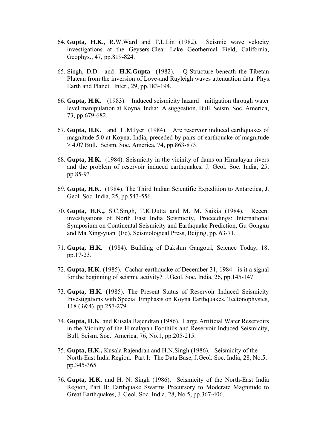- 64. **Gupta, H.K.,** R.W.Ward and T.L.Lin (1982). Seismic wave velocity investigations at the Geysers-Clear Lake Geothermal Field, California, Geophys., 47, pp.819-824.
- 65. Singh, D.D. and **H.K.Gupta** (1982). Q-Structure beneath the Tibetan Plateau from the inversion of Love-and Rayleigh waves attenuation data. Phys. Earth and Planet. Inter., 29, pp.183-194.
- 66. **Gupta, H.K.** (1983). Induced seismicity hazard mitigation through water level manipulation at Koyna, India: A suggestion, Bull. Seism. Soc. America, 73, pp.679-682.
- 67. **Gupta, H.K.** and H.M.Iyer (1984). Are reservoir induced earthquakes of magnitude 5.0 at Koyna, India, preceded by pairs of earthquake of magnitude > 4.0? Bull. Seism. Soc. America, 74, pp.863-873.
- 68. **Gupta, H.K.** (1984). Seismicity in the vicinity of dams on Himalayan rivers and the problem of reservoir induced earthquakes, J. Geol. Soc. India, 25, pp.85-93.
- 69. **Gupta, H.K.** (1984). The Third Indian Scientific Expedition to Antarctica, J. Geol. Soc. India, 25, pp.543-556.
- 70. **Gupta, H.K.,** S.C.Singh, T.K.Dutta and M. M. Saikia (1984). Recent investigations of North East India Seismicity, Proceedings: International Symposium on Continental Seismicity and Earthquake Prediction, Gu Gongxu and Ma Xing-yuan (Ed), Seismological Press, Beijing, pp. 63-71.
- 71. **Gupta, H.K.** (1984). Building of Dakshin Gangotri, Science Today, 18, pp.17-23.
- 72. **Gupta, H.K**. (1985). Cachar earthquake of December 31, 1984 is it a signal for the beginning of seismic activity? J.Geol. Soc. India, 26, pp.145-147.
- 73. **Gupta, H.K**. (1985). The Present Status of Reservoir Induced Seismicity Investigations with Special Emphasis on Koyna Earthquakes, Tectonophysics, 118 (3&4), pp.257-279.
- 74. **Gupta, H.K**. and Kusala Rajendran (1986). Large Artificial Water Reservoirs in the Vicinity of the Himalayan Foothills and Reservoir Induced Seismicity, Bull. Seism. Soc. America, 76, No.1, pp.205-215.
- 75. **Gupta, H.K.,** Kusala Rajendran and H.N.Singh (1986). Seismicity of the North-East India Region. Part I: The Data Base, J.Geol. Soc. India, 28, No.5, pp.345-365.
- 76. **Gupta, H.K.** and H. N. Singh (1986). Seismicity of the North-East India Region, Part II: Earthquake Swarms Precursory to Moderate Magnitude to Great Earthquakes, J. Geol. Soc. India, 28, No.5, pp.367-406.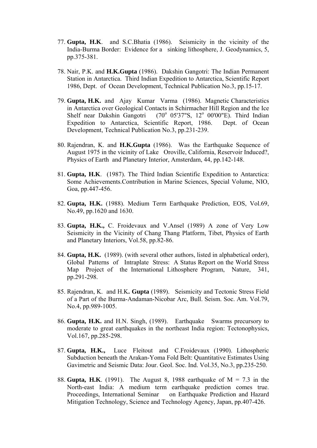- 77. **Gupta, H.K**. and S.C.Bhatia (1986). Seismicity in the vicinity of the India-Burma Border: Evidence for a sinking lithosphere, J. Geodynamics, 5, pp.375-381.
- 78. Nair, P.K. and **H.K.Gupta** (1986). Dakshin Gangotri: The Indian Permanent Station in Antarctica. Third Indian Expedition to Antarctica, Scientific Report 1986, Dept. of Ocean Development, Technical Publication No.3, pp.15-17.
- 79. **Gupta, H.K.** and Ajay Kumar Varma (1986). Magnetic Characteristics in Antarctica over Geological Contacts in Schirmacher Hill Region and the Ice Shelf near Dakshin Gangotri 05'37"S, 12° 00'00"E). Third Indian Expedition to Antarctica, Scientific Report, 1986. Dept. of Ocean Development, Technical Publication No.3, pp.231-239.
- 80. Rajendran, K. and **H.K.Gupta** (1986). Was the Earthquake Sequence of August 1975 in the vicinity of Lake Oroville, California, Reservoir Induced?, Physics of Earth and Planetary Interior, Amsterdam, 44, pp.142-148.
- 81. **Gupta, H.K**. (1987). The Third Indian Scientific Expedition to Antarctica: Some Achievements.Contribution in Marine Sciences, Special Volume, NIO, Goa, pp.447-456.
- 82. **Gupta, H.K.** (1988). Medium Term Earthquake Prediction, EOS, Vol.69, No.49, pp.1620 and 1630.
- 83. **Gupta, H.K.,** C. Froidevaux and V.Ansel (1989) A zone of Very Low Seismicity in the Vicinity of Chang Thang Platform, Tibet, Physics of Earth and Planetary Interiors, Vol.58, pp.82-86.
- 84. **Gupta, H.K.** (1989). (with several other authors, listed in alphabetical order), Global Patterns of Intraplate Stress: A Status Report on the World Stress Map Project of the International Lithosphere Program, Nature, 341, pp.291-298.
- 85. Rajendran, K. and H.K**. Gupta** (1989). Seismicity and Tectonic Stress Field of a Part of the Burma-Andaman-Nicobar Arc, Bull. Seism. Soc. Am. Vol.79, No.4, pp.989-1005.
- 86. **Gupta, H.K.** and H.N. Singh, (1989). Earthquake Swarms precursory to moderate to great earthquakes in the northeast India region: Tectonophysics, Vol.167, pp.285-298.
- 87. **Gupta, H.K.,** Luce Fleitout and C.Froidevaux (1990). Lithospheric Subduction beneath the Arakan-Yoma Fold Belt: Quantitative Estimates Using Gavimetric and Seismic Data: Jour. Geol. Soc. Ind. Vol.35, No.3, pp.235-250.
- 88. **Gupta, H.K**. (1991). The August 8, 1988 earthquake of M = 7.3 in the North-east India: A medium term earthquake prediction comes true. Proceedings, International Seminar on Earthquake Prediction and Hazard Mitigation Technology, Science and Technology Agency, Japan, pp.407-426.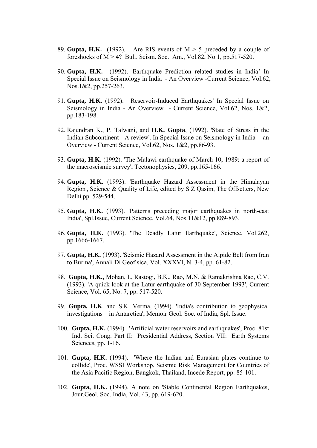- 89. **Gupta, H.K.** (1992). Are RIS events of  $M > 5$  preceded by a couple of foreshocks of  $M > 4$ ? Bull. Seism. Soc. Am., Vol.82, No.1, pp.517-520.
- 90. **Gupta, H.K.** (1992). 'Earthquake Prediction related studies in India' In Special Issue on Seismology in India - An Overview -Current Science, Vol.62, Nos.1&2, pp.257-263.
- 91. **Gupta, H.K**. (1992). 'Reservoir-Induced Earthquakes' In Special Issue on Seismology in India - An Overview - Current Science, Vol.62, Nos. 1&2, pp.183-198.
- 92. Rajendran K., P. Talwani, and **H.K. Gupta**, (1992). 'State of Stress in the Indian Subcontinent - A review'. In Special Issue on Seismology in India - an Overview - Current Science, Vol.62, Nos. 1&2, pp.86-93.
- 93. **Gupta, H.K**. (1992). 'The Malawi earthquake of March 10, 1989: a report of the macroseismic survey', Tectonophysics, 209, pp.165-166.
- 94. **Gupta, H.K.** (1993). 'Earthquake Hazard Assessment in the Himalayan Region', Science & Quality of Life, edited by S Z Qasim, The Offsetters, New Delhi pp. 529-544.
- 95. **Gupta, H.K.** (1993). 'Patterns preceding major earthquakes in north-east India', Spl.Issue, Current Science, Vol.64, Nos.11&12, pp.889-893.
- 96. **Gupta, H.K.** (1993). 'The Deadly Latur Earthquake', Science, Vol.262, pp.1666-1667.
- 97. **Gupta, H.K.** (1993). 'Seismic Hazard Assessment in the Alpide Belt from Iran to Burma', Annali Di Geofisica, Vol. XXXVI, N. 3-4, pp. 61-82.
- 98. **Gupta, H.K.,** Mohan, I., Rastogi, B.K., Rao, M.N. & Ramakrishna Rao, C.V. (1993). 'A quick look at the Latur earthquake of 30 September 1993', Current Science, Vol. 65, No. 7, pp. 517-520.
- 99. **Gupta, H.K**. and S.K. Verma, (1994). 'India's contribution to geophysical investigations in Antarctica', Memoir Geol. Soc. of India, Spl. Issue.
- 100. **Gupta, H.K.** (1994). 'Artificial water reservoirs and earthquakes', Proc. 81st Ind. Sci. Cong. Part II: Presidential Address, Section VII: Earth Systems Sciences, pp. 1-16.
- 101. **Gupta, H.K.** (1994). 'Where the Indian and Eurasian plates continue to collide', Proc. WSSI Workshop, Seismic Risk Management for Countries of the Asia Pacific Region, Bangkok, Thailand, Incede Report, pp. 85-101.
- 102. **Gupta, H.K.** (1994). A note on 'Stable Continental Region Earthquakes, Jour.Geol. Soc. India, Vol. 43, pp. 619-620.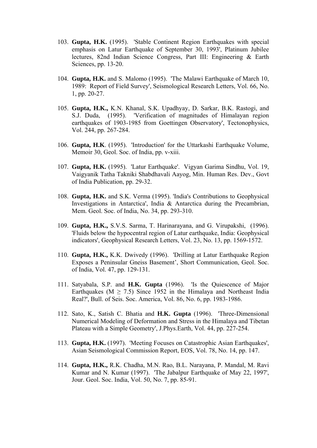- 103. **Gupta, H.K.** (1995). 'Stable Continent Region Earthquakes with special emphasis on Latur Earthquake of September 30, 1993', Platinum Jubilee lectures, 82nd Indian Science Congress, Part III: Engineering & Earth Sciences, pp. 13-20.
- 104. **Gupta, H.K.** and S. Malomo (1995). 'The Malawi Earthquake of March 10, 1989: Report of Field Survey', Seismological Research Letters, Vol. 66, No. 1, pp. 20-27.
- 105. **Gupta, H.K.,** K.N. Khanal, S.K. Upadhyay, D. Sarkar, B.K. Rastogi, and S.J. Duda, (1995). 'Verification of magnitudes of Himalayan region earthquakes of 1903-1985 from Goettingen Observatory', Tectonophysics, Vol. 244, pp. 267-284.
- 106. **Gupta, H.K**. (1995). 'Introduction' for the Uttarkashi Earthquake Volume, Memoir 30, Geol. Soc. of India, pp. v-xiii.
- 107. **Gupta, H.K.** (1995). 'Latur Earthquake'. Vigyan Garima Sindhu, Vol. 19, Vaigyanik Tatha Takniki Shabdhavali Aayog, Min. Human Res. Dev., Govt of India Publication, pp. 29-32.
- 108. **Gupta, H.K.** and S.K. Verma (1995). 'India's Contributions to Geophysical Investigations in Antarctica', India & Antarctica during the Precambrian, Mem. Geol. Soc. of India, No. 34, pp. 293-310.
- 109. **Gupta, H.K.,** S.V.S. Sarma, T. Harinarayana, and G. Virupakshi, (1996). 'Fluids below the hypocentral region of Latur earthquake, India: Geophysical indicators', Geophysical Research Letters, Vol. 23, No. 13, pp. 1569-1572.
- 110. **Gupta, H.K.,** K.K. Dwivedy (1996). 'Drilling at Latur Earthquake Region Exposes a Peninsular Gneiss Basement', Short Communication, Geol. Soc. of India, Vol. 47, pp. 129-131.
- 111. Satyabala, S.P. and **H.K. Gupta** (1996). 'Is the Quiescence of Major Earthquakes ( $M \ge 7.5$ ) Since 1952 in the Himalaya and Northeast India Real?', Bull. of Seis. Soc. America, Vol. 86, No. 6, pp. 1983-1986.
- 112. Sato, K., Satish C. Bhatia and **H.K. Gupta** (1996). 'Three-Dimensional Numerical Modeling of Deformation and Stress in the Himalaya and Tibetan Plateau with a Simple Geometry', J.Phys.Earth, Vol. 44, pp. 227-254.
- 113. **Gupta, H.K.** (1997). 'Meeting Focuses on Catastrophic Asian Earthquakes', Asian Seismological Commission Report, EOS, Vol. 78, No. 14, pp. 147.
- 114. **Gupta, H.K.,** R.K. Chadha, M.N. Rao, B.L. Narayana, P. Mandal, M. Ravi Kumar and N. Kumar (1997). 'The Jabalpur Earthquake of May 22, 1997', Jour. Geol. Soc. India, Vol. 50, No. 7, pp. 85-91.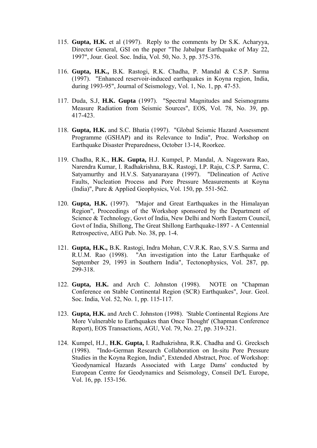- 115. **Gupta, H.K.** et al (1997). Reply to the comments by Dr S.K. Acharyya, Director General, GSI on the paper "The Jabalpur Earthquake of May 22, 1997", Jour. Geol. Soc. India, Vol. 50, No. 3, pp. 375-376.
- 116. **Gupta, H.K.,** B.K. Rastogi, R.K. Chadha, P. Mandal & C.S.P. Sarma (1997). "Enhanced reservoir-induced earthquakes in Koyna region, India, during 1993-95", Journal of Seismology, Vol. 1, No. 1, pp. 47-53.
- 117. Duda, S.J, **H.K. Gupta** (1997). "Spectral Magnitudes and Seismograms Measure Radiation from Seismic Sources", EOS, Vol. 78, No. 39, pp. 417-423.
- 118. **Gupta, H.K.** and S.C. Bhatia (1997). "Global Seismic Hazard Assessment Programme (GSHAP) and its Relevance to India", Proc. Workshop on Earthquake Disaster Preparedness, October 13-14, Roorkee.
- 119. Chadha, R.K., **H.K. Gupta,** H.J. Kumpel, P. Mandal, A. Nageswara Rao, Narendra Kumar, I. Radhakrishna, B.K. Rastogi, I.P. Raju, C.S.P. Sarma, C. Satyamurthy and H.V.S. Satyanarayana (1997). "Delineation of Active Faults, Nucleation Process and Pore Pressure Measurements at Koyna (India)", Pure & Applied Geophysics, Vol. 150, pp. 551-562.
- 120. **Gupta, H.K.** (1997). "Major and Great Earthquakes in the Himalayan Region", Proceedings of the Workshop sponsored by the Department of Science & Technology, Govt of India, New Delhi and North Eastern Council, Govt of India, Shillong, The Great Shillong Earthquake-1897 - A Centennial Retrospective, AEG Pub. No. 38, pp. 1-4.
- 121. **Gupta, H.K.,** B.K. Rastogi, Indra Mohan, C.V.R.K. Rao, S.V.S. Sarma and R.U.M. Rao (1998). "An investigation into the Latur Earthquake of September 29, 1993 in Southern India", Tectonophysics, Vol. 287, pp. 299-318.
- 122. **Gupta, H.K.** and Arch C. Johnston (1998). NOTE on "Chapman Conference on Stable Continental Region (SCR) Earthquakes", Jour. Geol. Soc. India, Vol. 52, No. 1, pp. 115-117.
- 123. **Gupta, H.K.** and Arch C. Johnston (1998). 'Stable Continental Regions Are More Vulnerable to Earthquakes than Once Thought' (Chapman Conference Report), EOS Transactions, AGU, Vol. 79, No. 27, pp. 319-321.
- 124. Kumpel, H.J., **H.K. Gupta,** I. Radhakrishna, R.K. Chadha and G. Grecksch (1998). "Indo-German Research Collaboration on In-situ Pore Pressure Studies in the Koyna Region, India", Extended Abstract, Proc. of Workshop: 'Geodynamical Hazards Associated with Large Dams' conducted by European Centre for Geodynamics and Seismology, Conseil De'L Europe, Vol. 16, pp. 153-156.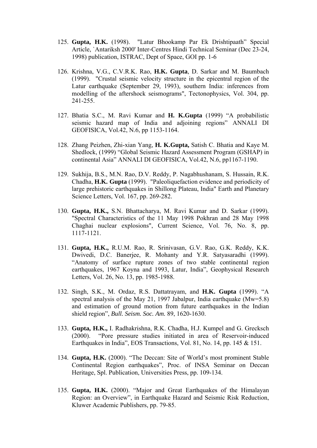- 125. **Gupta, H.K.** (1998). "Latur Bhookamp Par Ek Drishtipaath" Special Article, `Antariksh 2000' Inter-Centres Hindi Technical Seminar (Dec 23-24, 1998) publication, ISTRAC, Dept of Space, GOI pp. 1-6
- 126. Krishna, V.G., C.V.R.K. Rao, **H.K. Gupta**, D. Sarkar and M. Baumbach (1999). "Crustal seismic velocity structure in the epicentral region of the Latur earthquake (September 29, 1993), southern India: inferences from modelling of the aftershock seismograms", Tectonophysics, Vol. 304, pp. 241-255.
- 127. Bhatia S.C., M. Ravi Kumar and **H. K.Gupta** (1999) "A probabilistic seismic hazard map of India and adjoining regions" ANNALI DI GEOFISICA, Vol.42, N.6, pp 1153-1164.
- 128. Zhang Peizhen, Zhi-xian Yang, **H. K.Gupta,** Satish C. Bhatia and Kaye M. Shedlock, (1999) "Global Seismic Hazard Assessment Program (GSHAP) in continental Asia" ANNALI DI GEOFISICA, Vol.42, N.6, pp1167-1190.
- 129. Sukhija, B.S., M.N. Rao, D.V. Reddy, P. Nagabhushanam, S. Hussain, R.K. Chadha, **H.K. Gupta** (1999). "Paleoliquefaction evidence and periodicity of large prehistoric earthquakes in Shillong Plateau, India" Earth and Planetary Science Letters, Vol. 167, pp. 269-282.
- 130. **Gupta, H.K.,** S.N. Bhattacharya, M. Ravi Kumar and D. Sarkar (1999). "Spectral Characteristics of the 11 May 1998 Pokhran and 28 May 1998 Chaghai nuclear explosions", Current Science, Vol. 76, No. 8, pp. 1117-1121.
- 131. **Gupta, H.K.,** R.U.M. Rao, R. Srinivasan, G.V. Rao, G.K. Reddy, K.K. Dwivedi, D.C. Banerjee, R. Mohanty and Y.R. Satyasaradhi (1999). "Anatomy of surface rupture zones of two stable continental region earthquakes, 1967 Koyna and 1993, Latur, India", Geophysical Research Letters, Vol. 26, No. 13, pp. 1985-1988.
- 132. Singh, S.K., M. Ordaz, R.S. Dattatrayam, and **H.K. Gupta** (1999). "A spectral analysis of the May 21, 1997 Jabalpur, India earthquake (Mw=5.8) and estimation of ground motion from future earthquakes in the Indian shield region", *Bull. Seism. Soc. Am.* 89, 1620-1630.
- 133. **Gupta, H.K.,** I. Radhakrishna, R.K. Chadha, H.J. Kumpel and G. Grecksch (2000). "Pore pressure studies initiated in area of Reservoir-induced Earthquakes in India", EOS Transactions, Vol. 81, No. 14, pp. 145 & 151.
- 134. **Gupta, H.K.** (2000). "The Deccan: Site of World's most prominent Stable Continental Region earthquakes", Proc. of INSA Seminar on Deccan Heritage, Spl. Publication, Universities Press, pp. 109-134.
- 135. **Gupta, H.K.** (2000). "Major and Great Earthquakes of the Himalayan Region: an Overview", in Earthquake Hazard and Seismic Risk Reduction, Kluwer Academic Publishers, pp. 79-85.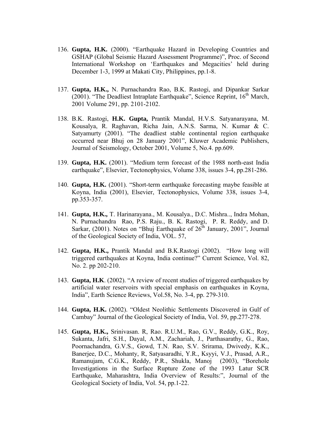- 136. **Gupta, H.K.** (2000). "Earthquake Hazard in Developing Countries and GSHAP (Global Seismic Hazard Assessment Programme)", Proc. of Second International Workshop on 'Earthquakes and Megacities' held during December 1-3, 1999 at Makati City, Philippines, pp.1-8.
- 137. **Gupta, H.K.,** N. Purnachandra Rao, B.K. Rastogi, and Dipankar Sarkar (2001). "The Deadliest Intraplate Earthquake", Science Reprint,  $16<sup>th</sup>$  March, 2001 Volume 291, pp. 2101-2102.
- 138. B.K. Rastogi, **H.K. Gupta,** Prantik Mandal, H.V.S. Satyanarayana, M. Kousalya, R. Raghavan, Richa Jain, A.N.S. Sarma, N. Kumar & C. Satyamurty (2001). "The deadliest stable continental region earthquake occurred near Bhuj on 28 January 2001", Kluwer Academic Publishers, Journal of Seismology, October 2001, Volume 5, No.4. pp.609.
- 139. **Gupta, H.K.** (2001). "Medium term forecast of the 1988 north-east India earthquake", Elsevier, Tectonophysics, Volume 338, issues 3-4, pp.281-286.
- 140. **Gupta, H.K.** (2001). "Short-term earthquake forecasting maybe feasible at Koyna, India (2001), Elsevier, Tectonophysics, Volume 338, issues 3-4, pp.353-357.
- 141. **Gupta, H.K.,** T. Harinarayana., M. Kousalya., D.C. Mishra.., Indra Mohan, N. Purnachandra Rao, P.S. Raju., B. K. Rastogi, P. R. Reddy, and D. Sarkar, (2001). Notes on "Bhuj Earthquake of  $26^{th}$  January, 2001", Journal of the Geological Society of India, VOL. 57,
- 142. **Gupta, H.K.,** Prantik Mandal and B.K.Rastogi (2002). "How long will triggered earthquakes at Koyna, India continue?" Current Science, Vol. 82, No. 2. pp 202-210.
- 143. **Gupta, H.K**. (2002). "A review of recent studies of triggered earthquakes by artificial water reservoirs with special emphasis on earthquakes in Koyna, India", Earth Science Reviews, Vol.58, No. 3-4, pp. 279-310.
- 144. **Gupta, H.K.** (2002). "Oldest Neolithic Settlements Discovered in Gulf of Cambay" Journal of the Geological Society of India, Vol. 59, pp.277-278.
- 145. **Gupta, H.K.,** Srinivasan. R, Rao. R.U.M., Rao, G.V., Reddy, G.K., Roy, Sukanta, Jafri, S.H., Dayal, A.M., Zachariah, J., Parthasarathy, G., Rao, Poornachandra, G.V.S., Gowd, T.N. Rao, S.V. Srirama, Dwivedy, K.K., Banerjee, D.C., Mohanty, R, Satyasaradhi, Y.R., Ksyyi, V.J., Prasad, A.R., Ramanujam, C.G.K., Reddy, P.R., Shukla, Manoj (2003), "Borehole Investigations in the Surface Rupture Zone of the 1993 Latur SCR Earthquake, Maharashtra, India Overview of Results:", Journal of the Geological Society of India, Vol. 54, pp.1-22.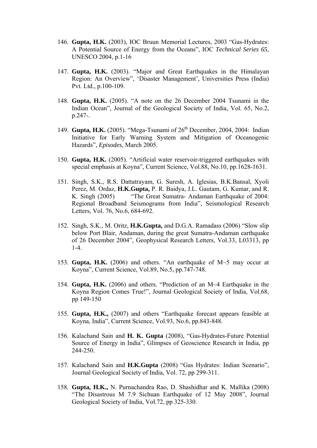- 146. **Gupta, H.K.** (2003), IOC Bruun Memorial Lectures, 2003 "Gas-Hydrates: A Potential Source of Energy from the Oceans", IOC *Technical Series 65*, UNESCO 2004, p.1-16
- 147. **Gupta, H.K.** (2003). "Major and Great Earthquakes in the Himalayan Region: An Overview", 'Disaster Management', Universities Press (India) Pvt. Ltd., p.100-109.
- 148. **Gupta, H.K.** (2005). "A note on the 26 December 2004 Tsunami in the Indian Ocean", Journal of the Geological Society of India, Vol. 65, No.2, p.247-.
- 149. **Gupta, H.K.** (2005). "Mega-Tsunami of 26<sup>th</sup> December, 2004, 2004: Indian Initiative for Early Warning System and Mitigation of Oceanogenic Hazards", *Episodes*, March 2005.
- 150. **Gupta, H.K.** (2005). "Artificial water reservoir-triggered earthquakes with special emphasis at Koyna", Current Science, Vol.88, No.10, pp.1628-1631.
- 151. Singh, S.K., R.S. Dattatrayam, G. Suresh, A. Iglesias, B.K.Bansal, Xyoli Perez, M. Ordaz, **H.K.Gupta,** P. R. Baidya, J.L. Gautam, G. Kumar, and R. K. Singh (2005) "The Great Sumatra- Andaman Earthquake of 2004: Regional Broadband Seismograms from India", Seismological Research Letters, Vol. 76, No.6, 684-692.
- 152. Singh, S.K., M. Oritz, **H.K.Gupta,** and D.G.A. Ramadass (2006) "Slow slip below Port Blair, Andaman, during the great Sumatra-Andaman earthquake of 26 December 2004", Geophysical Research Letters, Vol.33, L03313, pp 1-4.
- 153. **Gupta, H.K.** (2006) and others. "An earthquake of M~5 may occur at Koyna", Current Science, Vol.89, No.5, pp.747-748.
- 154. **Gupta, H.K.** (2006) and others. "Prediction of an M~4 Earthquake in the Koyna Region Comes True!", Journal Geological Society of India, Vol.68, pp 149-150
- 155. **Gupta, H.K.,** (2007) and others "Earthquake forecast appears feasible at Koyna, India", Current Science, Vol.93, No.6, pp.843-848.
- 156. Kalachand Sain and **H. K. Gupta** (2008), "Gas-Hydrates-Future Potential Source of Energy in India", Glimpses of Geoscience Research in India, pp 244-250.
- 157. Kalachand Sain and **H.K.Gupta** (2008) "Gas Hydrates: Indian Scenario", Journal Geological Society of India, Vol. 72, pp 299-311.
- 158. **Gupta, H.K.,** N. Purnachandra Rao, D. Shashidhar and K. Mallika (2008) "The Disastrous M 7.9 Sichuan Earthquake of 12 May 2008", Journal Geological Society of India, Vol.72, pp 325-330.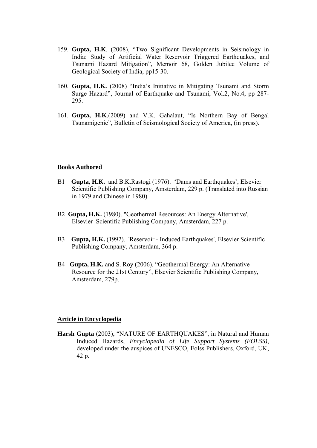- 159. **Gupta, H.K**. (2008), "Two Significant Developments in Seismology in India: Study of Artificial Water Reservoir Triggered Earthquakes, and Tsunami Hazard Mitigation", Memoir 68, Golden Jubilee Volume of Geological Society of India, pp15-30.
- 160. **Gupta, H.K.** (2008) "India's Initiative in Mitigating Tsunami and Storm Surge Hazard", Journal of Earthquake and Tsunami, Vol.2, No.4, pp 287- 295.
- 161. **Gupta, H.K**.(2009) and V.K. Gahalaut, "Is Northern Bay of Bengal Tsunamigenic", Bulletin of Seismological Society of America, (in press).

### **Books Authored**

- B1 **Gupta, H.K.** and B.K.Rastogi (1976). 'Dams and Earthquakes', Elsevier Scientific Publishing Company, Amsterdam, 229 p. (Translated into Russian in 1979 and Chinese in 1980).
- B2 **Gupta, H.K.** (1980). "Geothermal Resources: An Energy Alternative', Elsevier Scientific Publishing Company, Amsterdam, 227 p.
- B3 **Gupta, H.K.** (1992). 'Reservoir Induced Earthquakes', Elsevier Scientific Publishing Company, Amsterdam, 364 p.
- B4 **Gupta, H.K.** and S. Roy (2006). "Geothermal Energy: An Alternative Resource for the 21st Century", Elsevier Scientific Publishing Company, Amsterdam, 279p.

#### **Article in Encyclopedia**

**Harsh Gupta** (2003), "NATURE OF EARTHQUAKES", in Natural and Human Induced Hazards, *Encyclopedia of Life Support Systems (EOLSS)*, developed under the auspices of UNESCO, Eolss Publishers, Oxford, UK, 42 p.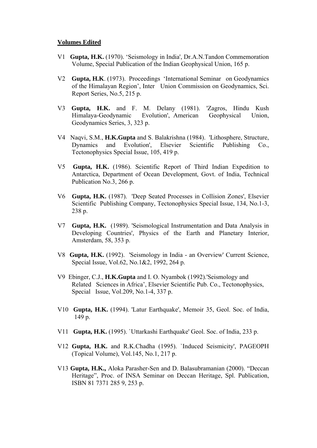#### **Volumes Edited**

- V1 **Gupta, H.K.** (1970). 'Seismology in India', Dr.A.N.Tandon Commemoration Volume, Special Publication of the Indian Geophysical Union, 165 p.
- V2 **Gupta, H.K**. (1973). Proceedings 'International Seminar on Geodynamics of the Himalayan Region', Inter Union Commission on Geodynamics, Sci. Report Series, No.5, 215 p.
- V3 **Gupta, H.K.** and F. M. Delany (1981). 'Zagros, Hindu Kush Himalaya-Geodynamic Evolution', American Geophysical Union, Geodynamics Series, 3, 323 p.
- V4 Naqvi, S.M., **H.K.Gupta** and S. Balakrishna (1984). 'Lithosphere, Structure, Dynamics and Evolution', Elsevier Scientific Publishing Co., Tectonophysics Special Issue, 105, 419 p.
- V5 **Gupta, H.K.** (1986). Scientific Report of Third Indian Expedition to Antarctica, Department of Ocean Development, Govt. of India, Technical Publication No.3, 266 p.
- V6 **Gupta, H.K.** (1987). 'Deep Seated Processes in Collision Zones', Elsevier Scientific Publishing Company, Tectonophysics Special Issue, 134, No.1-3, 238 p.
- V7 **Gupta, H.K.** (1989). 'Seismological Instrumentation and Data Analysis in Developing Countries', Physics of the Earth and Planetary Interior, Amsterdam, 58, 353 p.
- V8 **Gupta, H.K.** (1992). 'Seismology in India an Overview' Current Science, Special Issue, Vol.62, No.1&2, 1992, 264 p.
- V9 Ebinger, C.J., **H.K.Gupta** and I. O. Nyambok (1992).'Seismology and Related Sciences in Africa', Elsevier Scientific Pub. Co., Tectonophysics, Special Issue, Vol.209, No.1-4, 337 p.
- V10 **Gupta, H.K.** (1994). 'Latur Earthquake', Memoir 35, Geol. Soc. of India, 149 p.
- V11 **Gupta, H.K.** (1995). `Uttarkashi Earthquake' Geol. Soc. of India, 233 p.
- V12 **Gupta, H.K.** and R.K.Chadha (1995). `Induced Seismicity', PAGEOPH (Topical Volume), Vol.145, No.1, 217 p.
- V13 **Gupta, H.K.,** Aloka Parasher-Sen and D. Balasubramanian (2000). "Deccan Heritage", Proc. of INSA Seminar on Deccan Heritage, Spl. Publication, ISBN 81 7371 285 9, 253 p.